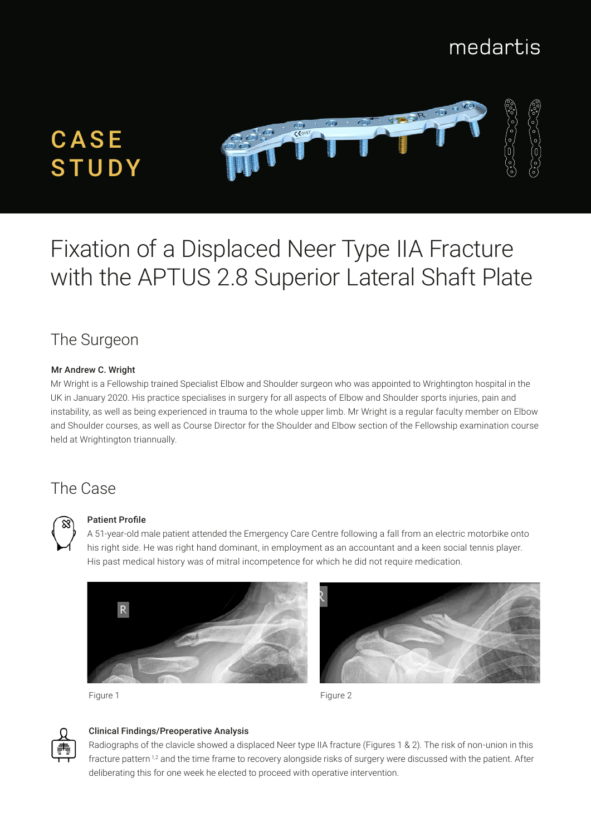## medartis



# Fixation of a Displaced Neer Type IIA Fracture with the APTUS 2.8 Superior Lateral Shaft Plate

## The Surgeon

#### Mr Andrew C. Wright

Mr Wright is a Fellowship trained Specialist Elbow and Shoulder surgeon who was appointed to Wrightington hospital in the UK in January 2020. His practice specialises in surgery for all aspects of Elbow and Shoulder sports injuries, pain and instability, as well as being experienced in trauma to the whole upper limb. Mr Wright is a regular faculty member on Elbow and Shoulder courses, as well as Course Director for the Shoulder and Elbow section of the Fellowship examination course held at Wrightington triannually.

## The Case



#### Patient Profile

A 51-year-old male patient attended the Emergency Care Centre following a fall from an electric motorbike onto his right side. He was right hand dominant, in employment as an accountant and a keen social tennis player. His past medical history was of mitral incompetence for which he did not require medication.





Figure 1 **Figure 2** Figure 2



#### Clinical Findings/Preoperative Analysis

Radiographs of the clavicle showed a displaced Neer type IIA fracture (Figures 1 & 2). The risk of non-union in this fracture pattern <sup>1,2</sup> and the time frame to recovery alongside risks of surgery were discussed with the patient. After deliberating this for one week he elected to proceed with operative intervention.